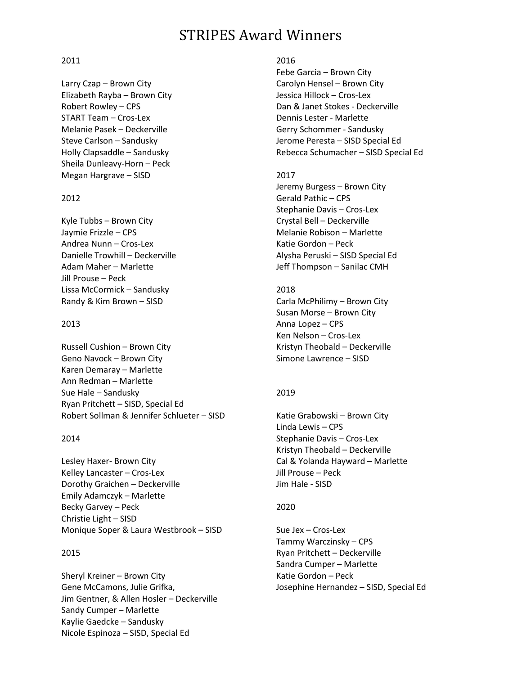# STRIPES Award Winners

### 2011

Larry Czap – Brown City Elizabeth Rayba – Brown City Robert Rowley – CPS START Team – Cros-Lex Melanie Pasek – Deckerville Steve Carlson – Sandusky Holly Clapsaddle – Sandusky Sheila Dunleavy-Horn – Peck Megan Hargrave – SISD

## 2012

Kyle Tubbs – Brown City Jaymie Frizzle – CPS Andrea Nunn – Cros-Lex Danielle Trowhill – Deckerville Adam Maher – Marlette Jill Prouse – Peck Lissa McCormick – Sandusky Randy & Kim Brown – SISD

## 2013

Russell Cushion – Brown City Geno Navock – Brown City Karen Demaray – Marlette Ann Redman – Marlette Sue Hale – Sandusky Ryan Pritchett – SISD, Special Ed Robert Sollman & Jennifer Schlueter – SISD

# 2014

Lesley Haxer- Brown City Kelley Lancaster – Cros-Lex Dorothy Graichen – Deckerville Emily Adamczyk – Marlette Becky Garvey – Peck Christie Light – SISD Monique Soper & Laura Westbrook – SISD

# 2015

Sheryl Kreiner – Brown City Gene McCamons, Julie Grifka, Jim Gentner, & Allen Hosler – Deckerville Sandy Cumper – Marlette Kaylie Gaedcke – Sandusky Nicole Espinoza – SISD, Special Ed

## 2016

Febe Garcia – Brown City Carolyn Hensel – Brown City Jessica Hillock – Cros-Lex Dan & Janet Stokes - Deckerville Dennis Lester - Marlette Gerry Schommer - Sandusky Jerome Peresta – SISD Special Ed Rebecca Schumacher – SISD Special Ed

# 2017

Jeremy Burgess – Brown City Gerald Pathic – CPS Stephanie Davis – Cros-Lex Crystal Bell – Deckerville Melanie Robison – Marlette Katie Gordon – Peck Alysha Peruski – SISD Special Ed Jeff Thompson – Sanilac CMH

# 2018

Carla McPhilimy – Brown City Susan Morse – Brown City Anna Lopez – CPS Ken Nelson – Cros-Lex Kristyn Theobald – Deckerville Simone Lawrence – SISD

# 2019

Katie Grabowski – Brown City Linda Lewis – CPS Stephanie Davis – Cros-Lex Kristyn Theobald – Deckerville Cal & Yolanda Hayward – Marlette Jill Prouse – Peck Jim Hale - SISD

# 2020

Sue Jex – Cros-Lex Tammy Warczinsky – CPS Ryan Pritchett – Deckerville Sandra Cumper – Marlette Katie Gordon – Peck Josephine Hernandez – SISD, Special Ed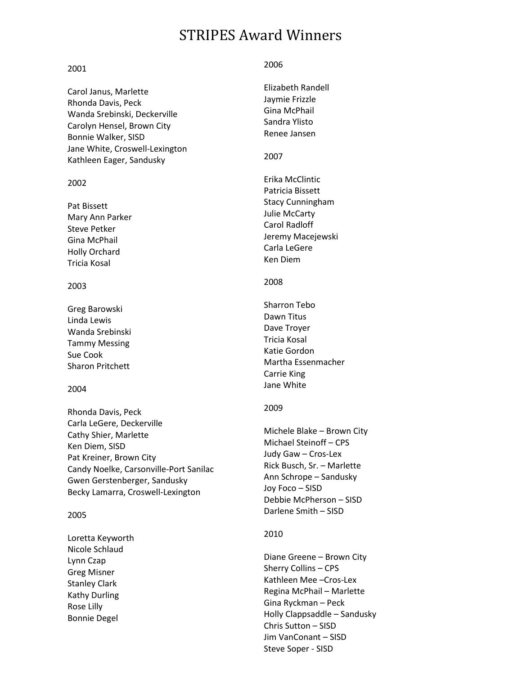# STRIPES Award Winners

#### 2001

Carol Janus, Marlette Rhonda Davis, Peck Wanda Srebinski, Deckerville Carolyn Hensel, Brown City Bonnie Walker, SISD Jane White, Croswell-Lexington Kathleen Eager, Sandusky

### 2002

Pat Bissett Mary Ann Parker Steve Petker Gina McPhail Holly Orchard Tricia Kosal

## 2003

Greg Barowski Linda Lewis Wanda Srebinski Tammy Messing Sue Cook Sharon Pritchett

#### 2004

Rhonda Davis, Peck Carla LeGere, Deckerville Cathy Shier, Marlette Ken Diem, SISD Pat Kreiner, Brown City Candy Noelke, Carsonville-Port Sanilac Gwen Gerstenberger, Sandusky Becky Lamarra, Croswell-Lexington

#### 2005

Loretta Keyworth Nicole Schlaud Lynn Czap Greg Misner Stanley Clark Kathy Durling Rose Lilly Bonnie Degel

#### 2006

Elizabeth Randell Jaymie Frizzle Gina McPhail Sandra Ylisto Renee Jansen

## 2007

Erika McClintic Patricia Bissett Stacy Cunningham Julie McCarty Carol Radloff Jeremy Macejewski Carla LeGere Ken Diem

## 2008

Sharron Tebo Dawn Titus Dave Troyer Tricia Kosal Katie Gordon Martha Essenmacher Carrie King Jane White

## 2009

Michele Blake – Brown City Michael Steinoff – CPS Judy Gaw – Cros-Lex Rick Busch, Sr. – Marlette Ann Schrope – Sandusky Joy Foco – SISD Debbie McPherson – SISD Darlene Smith – SISD

## 2010

Diane Greene – Brown City Sherry Collins – CPS Kathleen Mee –Cros-Lex Regina McPhail – Marlette Gina Ryckman – Peck Holly Clappsaddle – Sandusky Chris Sutton – SISD Jim VanConant – SISD Steve Soper - SISD